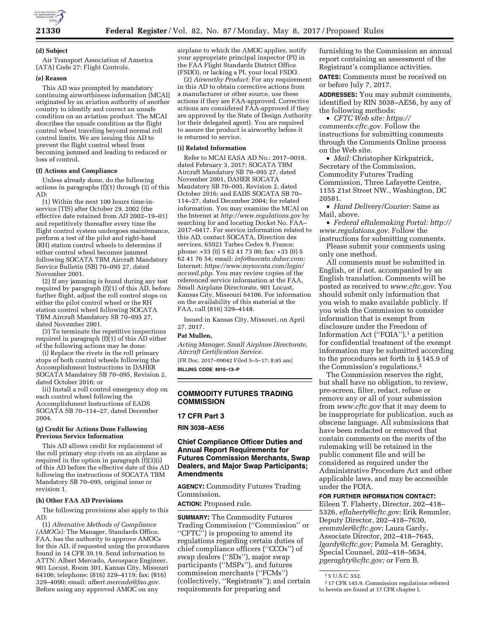

#### **(d) Subject**

Air Transport Association of America (ATA) Code 27: Flight Controls.

#### **(e) Reason**

This AD was prompted by mandatory continuing airworthiness information (MCAI) originated by an aviation authority of another country to identify and correct an unsafe condition on an aviation product. The MCAI describes the unsafe condition as the flight control wheel traveling beyond normal roll control limits. We are issuing this AD to prevent the flight control wheel from becoming jammed and leading to reduced or loss of control.

### **(f) Actions and Compliance**

Unless already done, do the following actions in paragraphs (f)(1) through (3) of this AD:

(1) Within the next 100 hours time-inservice (TIS) after October 29, 2002 (the effective date retained from AD 2002–19–01) and repetitively thereafter every time the flight control system undergoes maintenance, perform a test of the pilot and right-hand (RH) station control wheels to determine if either control wheel becomes jammed following SOCATA TBM Aircraft Mandatory Service Bulletin (SB) 70–095 27, dated November 2001.

(2) If any jamming is found during any test required by paragraph (f)(1) of this AD, before further flight, adjust the roll control stops on either the pilot control wheel or the RH station control wheel following SOCATA TBM Aircraft Mandatory SB 70–095 27, dated November 2001.

(3) To terminate the repetitive inspections required in paragraph  $(f)(1)$  of this AD either of the following actions may be done:

(i) Replace the rivets in the roll primary stops of both control wheels following the Accomplishment Instructions in DAHER SOCATA Mandatory SB 70–095, Revision 2, dated October 2016; or

(ii) Install a roll control emergency stop on each control wheel following the Accomplishment Instructions of EADS SOCATA SB 70–114–27, dated December 2004.

### **(g) Credit for Actions Done Following Previous Service Information**

This AD allows credit for replacement of the roll primary stop rivets on an airplane as required in the option in paragraph (f)(3)(i) of this AD before the effective date of this AD following the instructions of SOCATA TBM Mandatory SB 70–095, original issue or revision 1.

### **(h) Other FAA AD Provisions**

The following provisions also apply to this AD:

(1) *Alternative Methods of Compliance (AMOCs):* The Manager, Standards Office, FAA, has the authority to approve AMOCs for this AD, if requested using the procedures found in 14 CFR 39.19. Send information to ATTN: Albert Mercado, Aerospace Engineer, 901 Locust, Room 301, Kansas City, Missouri 64106; telephone: (816) 329–4119; fax: (816) 329–4090; email: *[albert.mercado@faa.gov.](mailto:albert.mercado@faa.gov)*  Before using any approved AMOC on any

airplane to which the AMOC applies, notify your appropriate principal inspector (PI) in the FAA Flight Standards District Office (FSDO), or lacking a PI, your local FSDO.

(2) *Airworthy Product:* For any requirement in this AD to obtain corrective actions from a manufacturer or other source, use these actions if they are FAA-approved. Corrective actions are considered FAA-approved if they are approved by the State of Design Authority (or their delegated agent). You are required to assure the product is airworthy before it is returned to service.

### **(i) Related Information**

Refer to MCAI EASA AD No.: 2017–0018, dated February 3, 2017; SOCATA TBM Aircraft Mandatory SB 70–095 27, dated November 2001, DAHER SOCATA Mandatory SB 70–095, Revision 2, dated October 2016; and EADS SOCATA SB 70– 114–27, dated December 2004; for related information. You may examine the MCAI on the Internet at *<http://www.regulations.gov>*by searching for and locating Docket No. FAA– 2017–0417. For service information related to this AD, contact SOCATA, Direction des services, 65921 Tarbes Cedex 9, France; phone: +33 (0) 5 62 41 73 00; fax: +33 (0) 5 62 41 76 54; email: *[info@socata.daher.com;](mailto:info@socata.daher.com)*  Internet: *[https://www.mysocata.com/login/](https://www.mysocata.com/login/accueil.php) [accueil.php.](https://www.mysocata.com/login/accueil.php)* You may review copies of the referenced service information at the FAA, Small Airplane Directorate, 901 Locust, Kansas City, Missouri 64106. For information on the availability of this material at the FAA, call (816) 329–4148.

Issued in Kansas City, Missouri, on April 27, 2017.

#### **Pat Mullen,**

*Acting Manager, Small Airplane Directorate, Aircraft Certification Service.* 

[FR Doc. 2017–09042 Filed 5–5–17; 8:45 am] **BILLING CODE 4910–13–P** 

### **COMMODITY FUTURES TRADING COMMISSION**

#### **17 CFR Part 3**

**RIN 3038–AE56** 

### **Chief Compliance Officer Duties and Annual Report Requirements for Futures Commission Merchants, Swap Dealers, and Major Swap Participants; Amendments**

**AGENCY:** Commodity Futures Trading Commission.

**ACTION:** Proposed rule.

**SUMMARY:** The Commodity Futures Trading Commission (''Commission'' or "CFTC") is proposing to amend its regulations regarding certain duties of chief compliance officers (''CCOs'') of swap dealers (''SDs''), major swap participants (''MSPs''), and futures commission merchants (''FCMs'') (collectively, ''Registrants''); and certain requirements for preparing and

furnishing to the Commission an annual report containing an assessment of the Registrant's compliance activities.

**DATES:** Comments must be received on or before July 7, 2017.

**ADDRESSES:** You may submit comments, identified by RIN 3038–AE56, by any of the following methods:

• *CFTC Web site: [https://](https://comments.cftc.gov) [comments.cftc.gov.](https://comments.cftc.gov)* Follow the instructions for submitting comments through the Comments Online process on the Web site.

• *Mail:* Christopher Kirkpatrick, Secretary of the Commission, Commodity Futures Trading Commission, Three Lafayette Centre, 1155 21st Street NW., Washington, DC 20581.

• *Hand Delivery/Courier:* Same as Mail, above.

• *Federal eRulemaking Portal: [http://](http://www.regulations.gov)  [www.regulations.gov.](http://www.regulations.gov)* Follow the instructions for submitting comments.

Please submit your comments using only one method.

All comments must be submitted in English, or if not, accompanied by an English translation. Comments will be posted as received to *[www.cftc.gov.](http://www.cftc.gov)* You should submit only information that you wish to make available publicly. If you wish the Commission to consider information that is exempt from disclosure under the Freedom of Information Act ("FOIA"),<sup>1</sup> a petition for confidential treatment of the exempt information may be submitted according to the procedures set forth in § 145.9 of the Commission's regulations.2

The Commission reserves the right, but shall have no obligation, to review, pre-screen, filter, redact, refuse or remove any or all of your submission from *[www.cftc.gov](http://www.cftc.gov)* that it may deem to be inappropriate for publication, such as obscene language. All submissions that have been redacted or removed that contain comments on the merits of the rulemaking will be retained in the public comment file and will be considered as required under the Administrative Procedure Act and other applicable laws, and may be accessible under the FOIA.

### **FOR FURTHER INFORMATION CONTACT:**

Eileen T. Flaherty, Director, 202–418– 5326, *[eflaherty@cftc.gov;](mailto:eflaherty@cftc.gov)* Erik Remmler, Deputy Director, 202–418–7630, *[eremmler@cftc.gov;](mailto:eremmler@cftc.gov)* Laura Gardy, Associate Director, 202–418–7645, *[lgardy@cftc.gov;](mailto:lgardy@cftc.gov)* Pamela M. Geraghty, Special Counsel, 202–418–5634, *[pgeraghty@cftc.gov;](mailto:pgeraghty@cftc.gov)* or Fern B.

<sup>1</sup> 5 U.S.C. 552.

<sup>2</sup> 17 CFR 145.9. Commission regulations referred to herein are found at 17 CFR chapter I.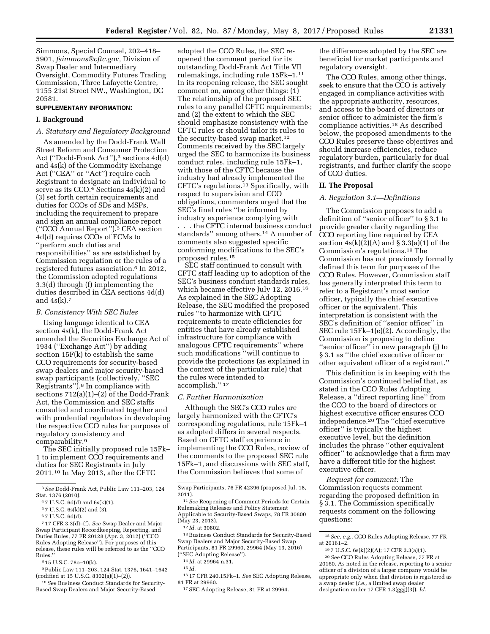Simmons, Special Counsel, 202–418– 5901, *[fsimmons@cftc.gov,](mailto:fsimmons@cftc.gov)* Division of Swap Dealer and Intermediary Oversight, Commodity Futures Trading Commission, Three Lafayette Centre, 1155 21st Street NW., Washington, DC 20581.

### **SUPPLEMENTARY INFORMATION:**

### **I. Background**

## *A. Statutory and Regulatory Background*

As amended by the Dodd-Frank Wall Street Reform and Consumer Protection Act ("Dodd-Frank Act"),<sup>3</sup> sections 4d(d) and 4s(k) of the Commodity Exchange Act (''CEA'' or ''Act'') require each Registrant to designate an individual to serve as its CCO. $4$  Sections  $4s(k)(2)$  and (3) set forth certain requirements and duties for CCOs of SDs and MSPs, including the requirement to prepare and sign an annual compliance report (''CCO Annual Report'').5 CEA section 4d(d) requires CCOs of FCMs to ''perform such duties and responsibilities'' as are established by Commission regulation or the rules of a registered futures association.6 In 2012, the Commission adopted regulations 3.3(d) through (f) implementing the duties described in CEA sections 4d(d) and  $4s(k)$ .

### *B. Consistency With SEC Rules*

Using language identical to CEA section 4s(k), the Dodd-Frank Act amended the Securities Exchange Act of 1934 (''Exchange Act'') by adding section 15F(k) to establish the same CCO requirements for security-based swap dealers and major security-based swap participants (collectively, ''SEC Registrants'').8 In compliance with sections 712(a)(1)–(2) of the Dodd-Frank Act, the Commission and SEC staffs consulted and coordinated together and with prudential regulators in developing the respective CCO rules for purposes of regulatory consistency and comparability.9

The SEC initially proposed rule 15Fk– 1 to implement CCO requirements and duties for SEC Registrants in July 2011.10 In May 2013, after the CFTC

7 17 CFR 3.3(d)–(f). *See* Swap Dealer and Major Swap Participant Recordkeeping, Reporting, and Duties Rules, 77 FR 20128 (Apr. 3, 2012) (' Rules Adopting Release''). For purposes of this release, these rules will be referred to as the ''CCO Rules.''

8 15 U.S.C. 78o–10(k).

9Public Law 111–203, 124 Stat. 1376, 1641–1642 (codified at 15 U.S.C. 8302(a)(1)–(2)).

10*See* Business Conduct Standards for Security-Based Swap Dealers and Major Security-Based

adopted the CCO Rules, the SEC reopened the comment period for its outstanding Dodd-Frank Act Title VII rulemakings, including rule 15Fk–1.11 In its reopening release, the SEC sought comment on, among other things: (1) The relationship of the proposed SEC rules to any parallel CFTC requirements; and (2) the extent to which the SEC should emphasize consistency with the CFTC rules or should tailor its rules to the security-based swap market.12 Comments received by the SEC largely urged the SEC to harmonize its business conduct rules, including rule 15Fk–1, with those of the CFTC because the industry had already implemented the CFTC's regulations.13 Specifically, with respect to supervision and CCO obligations, commenters urged that the SEC's final rules ''be informed by industry experience complying with . . . the CFTC internal business conduct standards'' among others.14 A number of comments also suggested specific conforming modifications to the SEC's proposed rules.15

SEC staff continued to consult with CFTC staff leading up to adoption of the SEC's business conduct standards rules, which became effective July 12, 2016.16 As explained in the SEC Adopting Release, the SEC modified the proposed rules ''to harmonize with CFTC requirements to create efficiencies for entities that have already established infrastructure for compliance with analogous CFTC requirements'' where such modifications ''will continue to provide the protections (as explained in the context of the particular rule) that the rules were intended to accomplish.'' 17

### *C. Further Harmonization*

Although the SEC's CCO rules are largely harmonized with the CFTC's corresponding regulations, rule 15Fk–1 as adopted differs in several respects. Based on CFTC staff experience in implementing the CCO Rules, review of the comments to the proposed SEC rule 15Fk–1, and discussions with SEC staff, the Commission believes that some of

16 17 CFR 240.15Fk–1. *See* SEC Adopting Release, 81 FR at 29960.

the differences adopted by the SEC are beneficial for market participants and regulatory oversight.

The CCO Rules, among other things, seek to ensure that the CCO is actively engaged in compliance activities with the appropriate authority, resources, and access to the board of directors or senior officer to administer the firm's compliance activities.18 As described below, the proposed amendments to the CCO Rules preserve these objectives and should increase efficiencies, reduce regulatory burden, particularly for dual registrants, and further clarify the scope of CCO duties.

### **II. The Proposal**

### *A. Regulation 3.1—Definitions*

The Commission proposes to add a definition of ''senior officer'' to § 3.1 to provide greater clarity regarding the CCO reporting line required by CEA section  $4s(k)(2)(A)$  and § 3.3(a)(1) of the Commission's regulations.19 The Commission has not previously formally defined this term for purposes of the CCO Rules. However, Commission staff has generally interpreted this term to refer to a Registrant's most senior officer, typically the chief executive officer or the equivalent. This interpretation is consistent with the SEC's definition of ''senior officer'' in SEC rule 15Fk–1(e)(2). Accordingly, the Commission is proposing to define "senior officer" in new paragraph (j) to § 3.1 as ''the chief executive officer or other equivalent officer of a registrant.''

This definition is in keeping with the Commission's continued belief that, as stated in the CCO Rules Adopting Release, a ''direct reporting line'' from the CCO to the board of directors or highest executive officer ensures CCO independence.20 The ''chief executive officer'' is typically the highest executive level, but the definition includes the phrase ''other equivalent officer'' to acknowledge that a firm may have a different title for the highest executive officer.

*Request for comment:* The Commission requests comment regarding the proposed definition in § 3.1. The Commission specifically requests comment on the following questions:

<sup>3</sup>*See* Dodd-Frank Act, Public Law 111–203, 124 Stat. 1376 (2010).

<sup>4</sup> 7 U.S.C. 6d(d) and 6s(k)(1).

<sup>5</sup> 7 U.S.C. 6s(k)(2) and (3).

<sup>6</sup> 7 U.S.C. 6d(d).

Swap Participants, 76 FR 42396 (proposed Jul. 18,  $2011$ ).

<sup>11</sup>*See* Reopening of Comment Periods for Certain Rulemaking Releases and Policy Statement Applicable to Security-Based Swaps, 78 FR 30800 (May 23, 2013).

<sup>12</sup> *Id.* at 30802.

<sup>13</sup>Business Conduct Standards for Security-Based Swap Dealers and Major Security-Based Swap Participants, 81 FR 29960, 29964 (May 13, 2016) (''SEC Adopting Release'').

<sup>14</sup> *Id.* at 29964 n.31.

<sup>15</sup> *Id.* 

<sup>17</sup>SEC Adopting Release, 81 FR at 29964.

<sup>18</sup>*See, e.g.,* CCO Rules Adopting Release, 77 FR at 20161–2.

<sup>19</sup> 7 U.S.C. 6s(k)(2)(A); 17 CFR 3.3(a)(1).

<sup>20</sup>*See* CCO Rules Adopting Release, 77 FR at 20160. As noted in the release, reporting to a senior officer of a division of a larger company would be appropriate only when that division is registered as a swap dealer (*i.e.,* a limited swap dealer designation under 17 CFR 1.3(ggg)(3)). *Id.*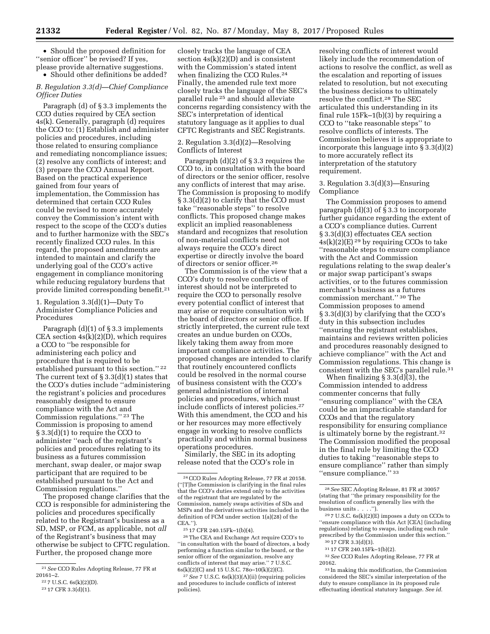• Should the proposed definition for ''senior officer'' be revised? If yes, please provide alternative suggestions.

• Should other definitions be added?

*B. Regulation 3.3(d)—Chief Compliance Officer Duties* 

Paragraph (d) of § 3.3 implements the CCO duties required by CEA section 4s(k). Generally, paragraph (d) requires the CCO to: (1) Establish and administer policies and procedures, including those related to ensuring compliance and remediating noncompliance issues; (2) resolve any conflicts of interest; and (3) prepare the CCO Annual Report. Based on the practical experience gained from four years of implementation, the Commission has determined that certain CCO Rules could be revised to more accurately convey the Commission's intent with respect to the scope of the CCO's duties and to further harmonize with the SEC's recently finalized CCO rules. In this regard, the proposed amendments are intended to maintain and clarify the underlying goal of the CCO's active engagement in compliance monitoring while reducing regulatory burdens that provide limited corresponding benefit.21

1. Regulation 3.3(d)(1)—Duty To Administer Compliance Policies and Procedures

Paragraph (d)(1) of § 3.3 implements CEA section  $4s(k)(2)(D)$ , which requires a CCO to ''be responsible for administering each policy and procedure that is required to be established pursuant to this section.'' 22 The current text of  $\S 3.3(d)(1)$  states that the CCO's duties include ''administering the registrant's policies and procedures reasonably designed to ensure compliance with the Act and Commission regulations.'' 23 The Commission is proposing to amend § 3.3(d)(1) to require the CCO to administer ''each of the registrant's policies and procedures relating to its business as a futures commission merchant, swap dealer, or major swap participant that are required to be established pursuant to the Act and Commission regulations.''

The proposed change clarifies that the CCO is responsible for administering the policies and procedures specifically related to the Registrant's business as a SD, MSP, or FCM, as applicable, not *all*  of the Registrant's business that may otherwise be subject to CFTC regulation. Further, the proposed change more

closely tracks the language of CEA section 4s(k)(2)(D) and is consistent with the Commission's stated intent when finalizing the CCO Rules.24 Finally, the amended rule text more closely tracks the language of the SEC's parallel rule 25 and should alleviate concerns regarding consistency with the SEC's interpretation of identical statutory language as it applies to dual CFTC Registrants and SEC Registrants.

2. Regulation 3.3(d)(2)—Resolving Conflicts of Interest

Paragraph (d)(2) of § 3.3 requires the CCO to, in consultation with the board of directors or the senior officer, resolve any conflicts of interest that may arise. The Commission is proposing to modify § 3.3(d)(2) to clarify that the CCO must take ''reasonable steps'' to resolve conflicts. This proposed change makes explicit an implied reasonableness standard and recognizes that resolution of non-material conflicts need not always require the CCO's direct expertise or directly involve the board of directors or senior officer.26

The Commission is of the view that a CCO's duty to resolve conflicts of interest should not be interpreted to require the CCO to personally resolve every potential conflict of interest that may arise or require consultation with the board of directors or senior office. If strictly interpreted, the current rule text creates an undue burden on CCOs, likely taking them away from more important compliance activities. The proposed changes are intended to clarify that routinely encountered conflicts could be resolved in the normal course of business consistent with the CCO's general administration of internal policies and procedures, which must include conflicts of interest policies.27 With this amendment, the CCO and his or her resources may more effectively engage in working to resolve conflicts practically and within normal business operations procedures.

Similarly, the SEC in its adopting release noted that the CCO's role in

26The CEA and Exchange Act require CCO's to ''in consultation with the board of directors, a body performing a function similar to the board, or the senior officer of the organization, resolve any conflicts of interest that may arise.'' 7 U.S.C. 6s(k)(2)(C) and 15 U.S.C. 78o–10(k)(2)(C).

27*See* 7 U.S.C. 6s(k)(3)(A)(ii) (requiring policies and procedures to include conflicts of interest policies).

resolving conflicts of interest would likely include the recommendation of actions to resolve the conflict, as well as the escalation and reporting of issues related to resolution, but not executing the business decisions to ultimately resolve the conflict.28 The SEC articulated this understanding in its final rule 15Fk–1(b)(3) by requiring a CCO to ''take reasonable steps'' to resolve conflicts of interests. The Commission believes it is appropriate to incorporate this language into § 3.3(d)(2) to more accurately reflect its interpretation of the statutory requirement.

3. Regulation 3.3(d)(3)—Ensuring Compliance

The Commission proposes to amend paragraph (d)(3) of  $\bar{\S}$  3.3 to incorporate further guidance regarding the extent of a CCO's compliance duties. Current § 3.3(d)(3) effectuates CEA section  $4s(k)(2)(E)$  <sup>29</sup> by requiring CCOs to take ''reasonable steps to ensure compliance with the Act and Commission regulations relating to the swap dealer's or major swap participant's swaps activities, or to the futures commission merchant's business as a futures commission merchant.'' 30 The Commission proposes to amend § 3.3(d)(3) by clarifying that the CCO's duty in this subsection includes ''ensuring the registrant establishes, maintains and reviews written policies and procedures reasonably designed to achieve compliance'' with the Act and Commission regulations. This change is consistent with the SEC's parallel rule.31

When finalizing § 3.3(d)(3), the Commission intended to address commenter concerns that fully ''ensuring compliance'' with the CEA could be an impracticable standard for CCOs and that the regulatory responsibility for ensuring compliance is ultimately borne by the registrant.32 The Commission modified the proposal in the final rule by limiting the CCO duties to taking ''reasonable steps to ensure compliance'' rather than simply ''ensure compliance.'' 33

 $297$  U.S.C.  $6s(k)(2)(E)$  imposes a duty on CCOs to ''ensure compliance with this Act [CEA] (including regulations) relating to swaps, including each rule prescribed by the Commission under this section.''

33 In making this modification, the Commission considered the SEC's similar interpretation of the duty to ensure compliance in its proposed rule effectuating identical statutory language. *See id.* 

<sup>21</sup>*See* CCO Rules Adopting Release, 77 FR at 20161–2.

<sup>22</sup> 7 U.S.C. 6s(k)(2)(D).

<sup>23</sup> 17 CFR 3.3(d)(1).

<sup>24</sup>CCO Rules Adopting Release, 77 FR at 20158. (''[T]he Commission is clarifying in the final rules that the CCO's duties extend only to the activities of the registrant that are regulated by the Commission, namely swaps activities of SDs and MSPs and the derivatives activities included in the definition of FCM under section 1(a)(28) of the CEA.'').

<sup>25</sup> 17 CFR 240.15Fk–1(b)(4).

<sup>28</sup>*See* SEC Adopting Release, 81 FR at 30057 (stating that ''the primary responsibility for the resolution of conflicts generally lies with the business units . . . . ").  $\,$ 

<sup>30</sup> 17 CFR 3.3(d)(3).

<sup>31</sup> 17 CFR 240.15Fk–1(b)(2).

<sup>32</sup>*See* CCO Rules Adopting Release, 77 FR at 20162.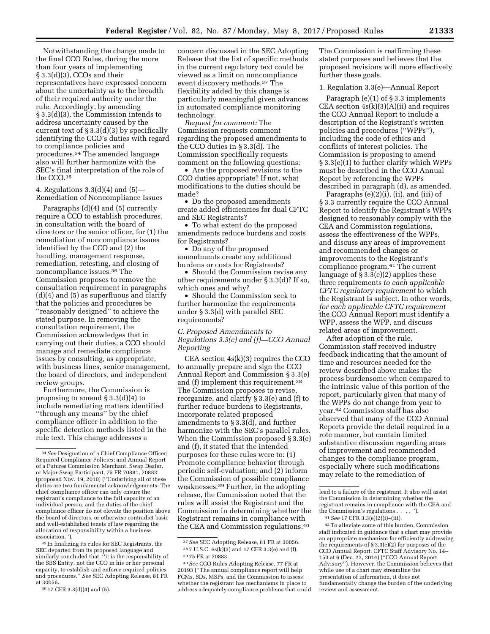Notwithstanding the change made to the final CCO Rules, during the more than four years of implementing § 3.3(d)(3), CCOs and their representatives have expressed concern about the uncertainty as to the breadth of their required authority under the rule. Accordingly, by amending § 3.3(d)(3), the Commission intends to address uncertainty caused by the current text of § 3.3(d)(3) by specifically identifying the CCO's duties with regard to compliance policies and procedures.34 The amended language also will further harmonize with the SEC's final interpretation of the role of the CCO.35

4. Regulations 3.3(d)(4) and (5)— Remediation of Noncompliance Issues

Paragraphs (d)(4) and (5) currently require a CCO to establish procedures, in consultation with the board of directors or the senior officer, for (1) the remediation of noncompliance issues identified by the CCO and (2) the handling, management response, remediation, retesting, and closing of noncompliance issues.36 The Commission proposes to remove the consultation requirement in paragraphs (d)(4) and (5) as superfluous and clarify that the policies and procedures be ''reasonably designed'' to achieve the stated purpose. In removing the consultation requirement, the Commission acknowledges that in carrying out their duties, a CCO should manage and remediate compliance issues by consulting, as appropriate, with business lines, senior management, the board of directors, and independent review groups.

Furthermore, the Commission is proposing to amend § 3.3(d)(4) to include remediating matters identified ''through any means'' by the chief compliance officer in addition to the specific detection methods listed in the rule text. This change addresses a

35 In finalizing its rules for SEC Registrants, the SEC departed from its proposed language and similarly concluded that, ''it is the responsibility of the SBS Entity, not the CCO in his or her personal capacity, to establish and enforce required policies and procedures.'' *See* SEC Adopting Release, 81 FR at 30056.

concern discussed in the SEC Adopting Release that the list of specific methods in the current regulatory text could be viewed as a limit on noncompliance event discovery methods.37 The flexibility added by this change is particularly meaningful given advances in automated compliance monitoring technology.

*Request for comment:* The Commission requests comment regarding the proposed amendments to the CCO duties in § 3.3(d). The Commission specifically requests comment on the following questions:

• Are the proposed revisions to the CCO duties appropriate? If not, what modifications to the duties should be made?

• Do the proposed amendments create added efficiencies for dual CFTC and SEC Registrants?

• To what extent do the proposed amendments reduce burdens and costs for Registrants?

• Do any of the proposed amendments create any additional burdens or costs for Registrants?

• Should the Commission revise any other requirements under § 3.3(d)? If so, which ones and why?

• Should the Commission seek to further harmonize the requirements under § 3.3(d) with parallel SEC requirements?

*C. Proposed Amendments to Regulations 3.3(e) and (f)—CCO Annual Reporting* 

CEA section 4s(k)(3) requires the CCO to annually prepare and sign the CCO Annual Report and Commission § 3.3(e) and (f) implement this requirement.38 The Commission proposes to revise, reorganize, and clarify § 3.3(e) and (f) to further reduce burdens to Registrants, incorporate related proposed amendments to § 3.3(d), and further harmonize with the SEC's parallel rules. When the Commission proposed § 3.3(e) and (f), it stated that the intended purposes for these rules were to: (1) Promote compliance behavior through periodic self-evaluation; and (2) inform the Commission of possible compliance weaknesses.39 Further, in the adopting release, the Commission noted that the rules will assist the Registrant and the Commission in determining whether the Registrant remains in compliance with the CEA and Commission regulations.40

40*See* CCO Rules Adopting Release, 77 FR at 20193 (''The annual compliance report will help FCMs, SDs, MSPs, and the Commission to assess whether the registrant has mechanisms in place to address adequately compliance problems that could The Commission is reaffirming these stated purposes and believes that the proposed revisions will more effectively further these goals.

1. Regulation 3.3(e)—Annual Report

Paragraph (e)(1) of § 3.3 implements CEA section  $4s(k)(3)(A)(ii)$  and requires the CCO Annual Report to include a description of the Registrant's written policies and procedures (''WPPs''), including the code of ethics and conflicts of interest policies. The Commission is proposing to amend § 3.3(e)(1) to further clarify which WPPs must be described in the CCO Annual Report by referencing the WPPs described in paragraph (d), as amended.

Paragraphs (e)(2)(i), (ii), and (iii) of § 3.3 currently require the CCO Annual Report to identify the Registrant's WPPs designed to reasonably comply with the CEA and Commission regulations, assess the effectiveness of the WPPs, and discuss any areas of improvement and recommended changes or improvements to the Registrant's compliance program.41 The current language of  $\S 3.3(e)(2)$  applies these three requirements *to each applicable CFTC regulatory requirement* to which the Registrant is subject. In other words, *for each applicable CFTC requirement*  the CCO Annual Report must identify a WPP, assess the WPP, and discuss related areas of improvement.

After adoption of the rule, Commission staff received industry feedback indicating that the amount of time and resources needed for the review described above makes the process burdensome when compared to the intrinsic value of this portion of the report, particularly given that many of the WPPs do not change from year to year.42 Commission staff has also observed that many of the CCO Annual Reports provide the detail required in a rote manner, but contain limited substantive discussion regarding areas of improvement and recommended changes to the compliance program, especially where such modifications may relate to the remediation of

lead to a failure of the registrant. It also will assist the Commission in determining whether the registrant remains in compliance with the CEA and the Commission's regulations . . . . '').

42To alleviate some of this burden, Commission staff indicated in guidance that a chart may provide an appropriate mechanism for efficiently addressing the requirements of § 3.3(e)(2) for purposes of the CCO Annual Report. CFTC Staff Advisory No. 14– 153 at 6 (Dec. 22, 2014) (''CCO Annual Report Advisory''). However, the Commission believes that while use of a chart may streamline the presentation of information, it does not fundamentally change the burden of the underlying review and assessment.

<sup>34</sup>*See* Designation of a Chief Compliance Officer; Required Compliance Policies; and Annual Report of a Futures Commission Merchant, Swap Dealer, or Major Swap Participant, 75 FR 70881, 70883 (proposed Nov. 19, 2010) (''Underlying all of these duties are two fundamental acknowledgements: The chief compliance officer can only ensure the registrant's compliance to the full capacity of an individual person, and the duties of the chief compliance officer do not elevate the position above the board of directors, or otherwise contradict basic and well-established tenets of law regarding the allocation of responsibility within a business association.'').

<sup>36</sup> 17 CFR 3.3(d)(4) and (5).

<sup>37</sup>*See* SEC Adopting Release, 81 FR at 30056. 38 7 U.S.C. 6s(k)(3) and 17 CFR 3.3(e) and (f).

<sup>39</sup> 75 FR at 70883.

<sup>41</sup>*See* 17 CFR 3.3(e)(2)(i)–(iii).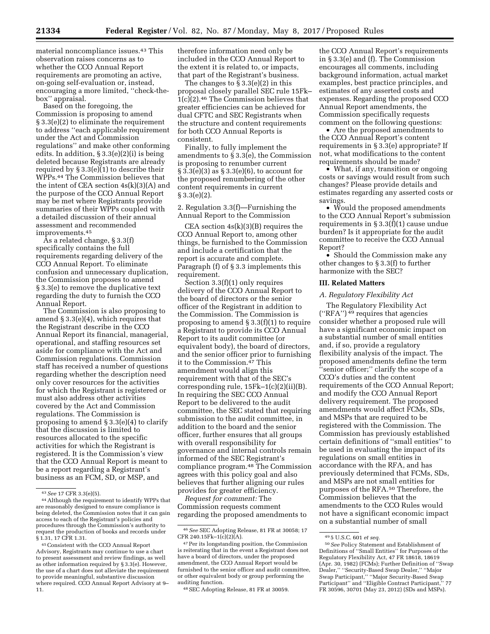material noncompliance issues.43 This observation raises concerns as to whether the CCO Annual Report requirements are promoting an active, on-going self-evaluation or, instead, encouraging a more limited, ''check-thebox'' appraisal.

Based on the foregoing, the Commission is proposing to amend § 3.3(e)(2) to eliminate the requirement to address ''each applicable requirement under the Act and Commission regulations'' and make other conforming edits. In addition, § 3.3(e)(2)(i) is being deleted because Registrants are already required by § 3.3(e)(1) to describe their WPPs.44 The Commission believes that the intent of CEA section  $4s(k)(3)(A)$  and the purpose of the CCO Annual Report may be met where Registrants provide summaries of their WPPs coupled with a detailed discussion of their annual assessment and recommended improvements.45

As a related change, § 3.3(f) specifically contains the full requirements regarding delivery of the CCO Annual Report. To eliminate confusion and unnecessary duplication, the Commission proposes to amend § 3.3(e) to remove the duplicative text regarding the duty to furnish the CCO Annual Report.

The Commission is also proposing to amend § 3.3(e)(4), which requires that the Registrant describe in the CCO Annual Report its financial, managerial, operational, and staffing resources set aside for compliance with the Act and Commission regulations. Commission staff has received a number of questions regarding whether the description need only cover resources for the activities for which the Registrant is registered or must also address other activities covered by the Act and Commission regulations. The Commission is proposing to amend § 3.3(e)(4) to clarify that the discussion is limited to resources allocated to the specific activities for which the Registrant is registered. It is the Commission's view that the CCO Annual Report is meant to be a report regarding a Registrant's business as an FCM, SD, or MSP, and

therefore information need only be included in the CCO Annual Report to the extent it is related to, or impacts, that part of the Registrant's business.

The changes to § 3.3(e)(2) in this proposal closely parallel SEC rule 15Fk– 1(c)(2).46 The Commission believes that greater efficiencies can be achieved for dual CFTC and SEC Registrants when the structure and content requirements for both CCO Annual Reports is consistent.

Finally, to fully implement the amendments to § 3.3(e), the Commission is proposing to renumber current § 3.3(e)(3) as § 3.3(e)(6), to account for the proposed renumbering of the other content requirements in current § 3.3(e)(2).

2. Regulation 3.3(f)—Furnishing the Annual Report to the Commission

CEA section  $4s(k)(3)(B)$  requires the CCO Annual Report to, among other things, be furnished to the Commission and include a certification that the report is accurate and complete. Paragraph (f) of § 3.3 implements this requirement.

Section 3.3(f)(1) only requires delivery of the CCO Annual Report to the board of directors or the senior officer of the Registrant in addition to the Commission. The Commission is proposing to amend § 3.3(f)(1) to require a Registrant to provide its CCO Annual Report to its audit committee (or equivalent body), the board of directors, and the senior officer prior to furnishing it to the Commission.47 This amendment would align this requirement with that of the SEC's corresponding rule,  $15Fk-1(c)(2)(ii)(B)$ . In requiring the SEC CCO Annual Report to be delivered to the audit committee, the SEC stated that requiring submission to the audit committee, in addition to the board and the senior officer, further ensures that all groups with overall responsibility for governance and internal controls remain informed of the SEC Registrant's compliance program.48 The Commission agrees with this policy goal and also believes that further aligning our rules provides for greater efficiency.

*Request for comment:* The Commission requests comment regarding the proposed amendments to

48SEC Adopting Release, 81 FR at 30059.

the CCO Annual Report's requirements in § 3.3(e) and (f). The Commission encourages all comments, including background information, actual market examples, best practice principles, and estimates of any asserted costs and expenses. Regarding the proposed CCO Annual Report amendments, the Commission specifically requests comment on the following questions:

• Are the proposed amendments to the CCO Annual Report's content requirements in § 3.3(e) appropriate? If not, what modifications to the content requirements should be made?

• What, if any, transition or ongoing costs or savings would result from such changes? Please provide details and estimates regarding any asserted costs or savings.

• Would the proposed amendments to the CCO Annual Report's submission requirements in § 3.3(f)(1) cause undue burden? Is it appropriate for the audit committee to receive the CCO Annual Report?

• Should the Commission make any other changes to § 3.3(f) to further harmonize with the SEC?

### **III. Related Matters**

### *A. Regulatory Flexibility Act*

The Regulatory Flexibility Act (''RFA'') 49 requires that agencies consider whether a proposed rule will have a significant economic impact on a substantial number of small entities and, if so, provide a regulatory flexibility analysis of the impact. The proposed amendments define the term "senior officer;" clarify the scope of a CCO's duties and the content requirements of the CCO Annual Report; and modify the CCO Annual Report delivery requirement. The proposed amendments would affect FCMs, SDs, and MSPs that are required to be registered with the Commission. The Commission has previously established certain definitions of ''small entities'' to be used in evaluating the impact of its regulations on small entities in accordance with the RFA, and has previously determined that FCMs, SDs, and MSPs are not small entities for purposes of the RFA.50 Therefore, the Commission believes that the amendments to the CCO Rules would not have a significant economic impact on a substantial number of small

<sup>43</sup>*See* 17 CFR 3.3(e)(5). 44Although the requirement to identify WPPs that are reasonably designed to ensure compliance is being deleted, the Commission notes that it can gain access to each of the Registrant's policies and procedures through the Commission's authority to request the production of books and records under § 1.31, 17 CFR 1.31.

<sup>45</sup>Consistent with the CCO Annual Report Advisory, Registrants may continue to use a chart to present assessment and review findings, as well as other information required by § 3.3(e). However, the use of a chart does not alleviate the requirement to provide meaningful, substantive discussion where required. CCO Annual Report Advisory at 9– 11.

<sup>46</sup>*See* SEC Adopting Release, 81 FR at 30058; 17 CFR 240.15Fk-1(c)(2)(A).

<sup>47</sup>Per its longstanding position, the Commission is reiterating that in the event a Registrant does not have a board of directors, under the proposed amendment, the CCO Annual Report would be furnished to the senior officer and audit committee, or other equivalent body or group performing the auditing function.

<sup>49</sup> 5 U.S.C. 601 *et seq.* 

<sup>50</sup>*See* Policy Statement and Establishment of Definitions of ''Small Entities'' for Purposes of the Regulatory Flexibility Act, 47 FR 18618, 18619 (Apr. 30, 1982) (FCMs); Further Definition of ''Swap Dealer,'' ''Security-Based Swap Dealer,'' ''Major Swap Participant,'' ''Major Security-Based Swap Participant" and "Eligible Contract Participant, FR 30596, 30701 (May 23, 2012) (SDs and MSPs).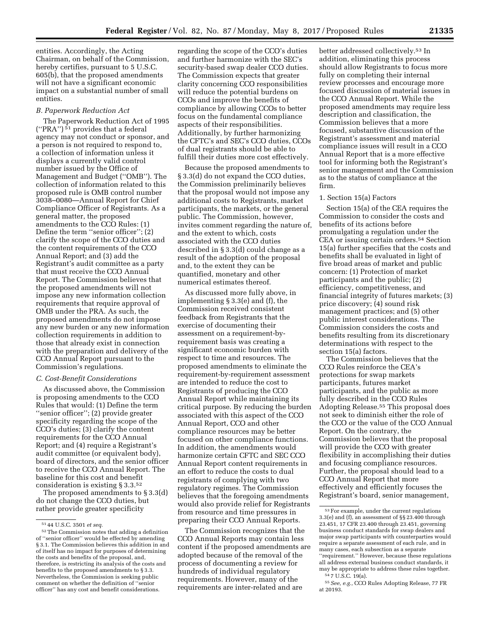entities. Accordingly, the Acting Chairman, on behalf of the Commission, hereby certifies, pursuant to 5 U.S.C. 605(b), that the proposed amendments will not have a significant economic impact on a substantial number of small entities.

## *B. Paperwork Reduction Act*

The Paperwork Reduction Act of 1995 (''PRA'') 51 provides that a federal agency may not conduct or sponsor, and a person is not required to respond to, a collection of information unless it displays a currently valid control number issued by the Office of Management and Budget (''OMB''). The collection of information related to this proposed rule is OMB control number 3038–0080—Annual Report for Chief Compliance Officer of Registrants. As a general matter, the proposed amendments to the CCO Rules: (1) Define the term ''senior officer''; (2) clarify the scope of the CCO duties and the content requirements of the CCO Annual Report; and (3) add the Registrant's audit committee as a party that must receive the CCO Annual Report. The Commission believes that the proposed amendments will not impose any new information collection requirements that require approval of OMB under the PRA. As such, the proposed amendments do not impose any new burden or any new information collection requirements in addition to those that already exist in connection with the preparation and delivery of the CCO Annual Report pursuant to the Commission's regulations.

### *C. Cost-Benefit Considerations*

As discussed above, the Commission is proposing amendments to the CCO Rules that would: (1) Define the term ''senior officer''; (2) provide greater specificity regarding the scope of the CCO's duties; (3) clarify the content requirements for the CCO Annual Report; and (4) require a Registrant's audit committee (or equivalent body), board of directors, and the senior officer to receive the CCO Annual Report. The baseline for this cost and benefit consideration is existing § 3.3.52

The proposed amendments to § 3.3(d) do not change the CCO duties, but rather provide greater specificity

regarding the scope of the CCO's duties and further harmonize with the SEC's security-based swap dealer CCO duties. The Commission expects that greater clarity concerning CCO responsibilities will reduce the potential burdens on CCOs and improve the benefits of compliance by allowing CCOs to better focus on the fundamental compliance aspects of their responsibilities. Additionally, by further harmonizing the CFTC's and SEC's CCO duties, CCOs of dual registrants should be able to fulfill their duties more cost effectively.

Because the proposed amendments to § 3.3(d) do not expand the CCO duties, the Commission preliminarily believes that the proposal would not impose any additional costs to Registrants, market participants, the markets, or the general public. The Commission, however, invites comment regarding the nature of, and the extent to which, costs associated with the CCO duties described in § 3.3(d) could change as a result of the adoption of the proposal and, to the extent they can be quantified, monetary and other numerical estimates thereof.

As discussed more fully above, in implementing § 3.3(e) and (f), the Commission received consistent feedback from Registrants that the exercise of documenting their assessment on a requirement-byrequirement basis was creating a significant economic burden with respect to time and resources. The proposed amendments to eliminate the requirement-by-requirement assessment are intended to reduce the cost to Registrants of producing the CCO Annual Report while maintaining its critical purpose. By reducing the burden associated with this aspect of the CCO Annual Report, CCO and other compliance resources may be better focused on other compliance functions. In addition, the amendments would harmonize certain CFTC and SEC CCO Annual Report content requirements in an effort to reduce the costs to dual registrants of complying with two regulatory regimes. The Commission believes that the foregoing amendments would also provide relief for Registrants from resource and time pressures in preparing their CCO Annual Reports.

The Commission recognizes that the CCO Annual Reports may contain less content if the proposed amendments are adopted because of the removal of the process of documenting a review for hundreds of individual regulatory requirements. However, many of the requirements are inter-related and are

better addressed collectively.53 In addition, eliminating this process should allow Registrants to focus more fully on completing their internal review processes and encourage more focused discussion of material issues in the CCO Annual Report. While the proposed amendments may require less description and classification, the Commission believes that a more focused, substantive discussion of the Registrant's assessment and material compliance issues will result in a CCO Annual Report that is a more effective tool for informing both the Registrant's senior management and the Commission as to the status of compliance at the firm.

### 1. Section 15(a) Factors

Section 15(a) of the CEA requires the Commission to consider the costs and benefits of its actions before promulgating a regulation under the CEA or issuing certain orders.54 Section 15(a) further specifies that the costs and benefits shall be evaluated in light of five broad areas of market and public concern: (1) Protection of market participants and the public; (2) efficiency, competitiveness, and financial integrity of futures markets; (3) price discovery; (4) sound risk management practices; and (5) other public interest considerations. The Commission considers the costs and benefits resulting from its discretionary determinations with respect to the section 15(a) factors.

The Commission believes that the CCO Rules reinforce the CEA's protections for swap markets participants, futures market participants, and the public as more fully described in the CCO Rules Adopting Release.55 This proposal does not seek to diminish either the role of the CCO or the value of the CCO Annual Report. On the contrary, the Commission believes that the proposal will provide the CCO with greater flexibility in accomplishing their duties and focusing compliance resources. Further, the proposal should lead to a CCO Annual Report that more effectively and efficiently focuses the Registrant's board, senior management,

<sup>51</sup> 44 U.S.C. 3501 *et seq.* 

<sup>52</sup>The Commission notes that adding a definition of ''senior officer'' would be effected by amending § 3.1. The Commission believes this addition in and of itself has no impact for purposes of determining the costs and benefits of the proposal, and, therefore, is restricting its analysis of the costs and benefits to the proposed amendments to § 3.3. Nevertheless, the Commission is seeking public comment on whether the definition of ''senior officer'' has any cost and benefit considerations.

<sup>53</sup>For example, under the current regulations 3.3(e) and (f), an assessment of §§ 23.400 through 23.451, 17 CFR 23.400 through 23.451, governing business conduct standards for swap dealers and major swap participants with counterparties would require a separate assessment of each rule, and in many cases, each subsection as a separate ''requirement.'' However, because these regulations all address external business conduct standards, it may be appropriate to address these rules together. 54 7 U.S.C. 19(a).

<sup>55</sup>*See, e.g.,* CCO Rules Adopting Release, 77 FR at 20193.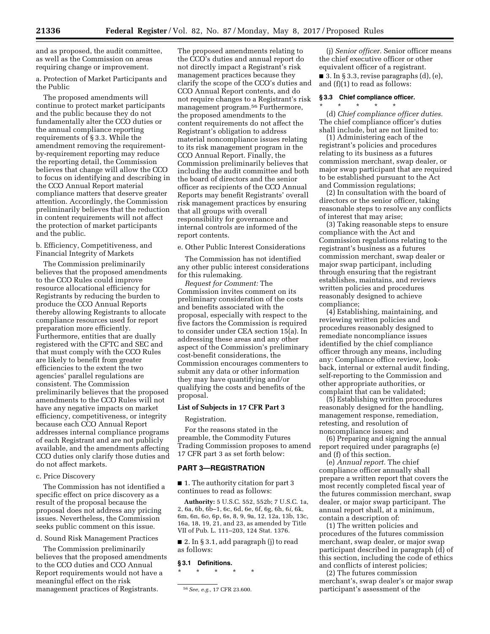and as proposed, the audit committee, as well as the Commission on areas requiring change or improvement.

a. Protection of Market Participants and the Public

The proposed amendments will continue to protect market participants and the public because they do not fundamentally alter the CCO duties or the annual compliance reporting requirements of § 3.3. While the amendment removing the requirementby-requirement reporting may reduce the reporting detail, the Commission believes that change will allow the CCO to focus on identifying and describing in the CCO Annual Report material compliance matters that deserve greater attention. Accordingly, the Commission preliminarily believes that the reduction in content requirements will not affect the protection of market participants and the public.

b. Efficiency, Competitiveness, and Financial Integrity of Markets

The Commission preliminarily believes that the proposed amendments to the CCO Rules could improve resource allocational efficiency for Registrants by reducing the burden to produce the CCO Annual Reports thereby allowing Registrants to allocate compliance resources used for report preparation more efficiently. Furthermore, entities that are dually registered with the CFTC and SEC and that must comply with the CCO Rules are likely to benefit from greater efficiencies to the extent the two agencies' parallel regulations are consistent. The Commission preliminarily believes that the proposed amendments to the CCO Rules will not have any negative impacts on market efficiency, competitiveness, or integrity because each CCO Annual Report addresses internal compliance programs of each Registrant and are not publicly available, and the amendments affecting CCO duties only clarify those duties and do not affect markets.

## c. Price Discovery

The Commission has not identified a specific effect on price discovery as a result of the proposal because the proposal does not address any pricing issues. Nevertheless, the Commission seeks public comment on this issue.

d. Sound Risk Management Practices

The Commission preliminarily believes that the proposed amendments to the CCO duties and CCO Annual Report requirements would not have a meaningful effect on the risk management practices of Registrants.

The proposed amendments relating to the CCO's duties and annual report do not directly impact a Registrant's risk management practices because they clarify the scope of the CCO's duties and CCO Annual Report contents, and do not require changes to a Registrant's risk management program.56 Furthermore, the proposed amendments to the content requirements do not affect the Registrant's obligation to address material noncompliance issues relating to its risk management program in the CCO Annual Report. Finally, the Commission preliminarily believes that including the audit committee and both the board of directors and the senior officer as recipients of the CCO Annual Reports may benefit Registrants' overall risk management practices by ensuring that all groups with overall responsibility for governance and internal controls are informed of the report contents.

e. Other Public Interest Considerations

The Commission has not identified any other public interest considerations for this rulemaking.

*Request for Comment:* The Commission invites comment on its preliminary consideration of the costs and benefits associated with the proposal, especially with respect to the five factors the Commission is required to consider under CEA section 15(a). In addressing these areas and any other aspect of the Commission's preliminary cost-benefit considerations, the Commission encourages commenters to submit any data or other information they may have quantifying and/or qualifying the costs and benefits of the proposal.

### **List of Subjects in 17 CFR Part 3**

Registration.

For the reasons stated in the preamble, the Commodity Futures Trading Commission proposes to amend 17 CFR part 3 as set forth below:

#### **PART 3—REGISTRATION**

■ 1. The authority citation for part 3 continues to read as follows:

**Authority:** 5 U.S.C. 552, 552b; 7 U.S.C. 1a, 2, 6a, 6b, 6b–1, 6c, 6d, 6e, 6f, 6g, 6h, 6*i,* 6k, 6m, 6n, 6*o,* 6p, 6s, 8, 9, 9a, 12, 12a, 13b, 13c, 16a, 18, 19, 21, and 23, as amended by Title VII of Pub. L. 111–203, 124 Stat. 1376.

■ 2. In § 3.1, add paragraph (j) to read as follows:

## **§ 3.1 Definitions.**

\* \* \* \* \*

(j) *Senior officer.* Senior officer means the chief executive officer or other equivalent officer of a registrant.

 $\blacksquare$  3. In § 3.3, revise paragraphs (d), (e), and (f)(1) to read as follows:

#### **§ 3.3 Chief compliance officer.**   $*$  \*

(d) *Chief compliance officer duties.*  The chief compliance officer's duties shall include, but are not limited to:

(1) Administering each of the registrant's policies and procedures relating to its business as a futures commission merchant, swap dealer, or major swap participant that are required to be established pursuant to the Act and Commission regulations;

(2) In consultation with the board of directors or the senior officer, taking reasonable steps to resolve any conflicts of interest that may arise;

(3) Taking reasonable steps to ensure compliance with the Act and Commission regulations relating to the registrant's business as a futures commission merchant, swap dealer or major swap participant, including through ensuring that the registrant establishes, maintains, and reviews written policies and procedures reasonably designed to achieve compliance;

(4) Establishing, maintaining, and reviewing written policies and procedures reasonably designed to remediate noncompliance issues identified by the chief compliance officer through any means, including any: Compliance office review, lookback, internal or external audit finding, self-reporting to the Commission and other appropriate authorities, or complaint that can be validated;

(5) Establishing written procedures reasonably designed for the handling, management response, remediation, retesting, and resolution of noncompliance issues; and

(6) Preparing and signing the annual report required under paragraphs (e) and (f) of this section.

(e) *Annual report.* The chief compliance officer annually shall prepare a written report that covers the most recently completed fiscal year of the futures commission merchant, swap dealer, or major swap participant. The annual report shall, at a minimum, contain a description of:

(1) The written policies and procedures of the futures commission merchant, swap dealer, or major swap participant described in paragraph (d) of this section, including the code of ethics and conflicts of interest policies;

(2) The futures commission merchant's, swap dealer's or major swap participant's assessment of the

<sup>56</sup>*See, e.g.,* 17 CFR 23.600.